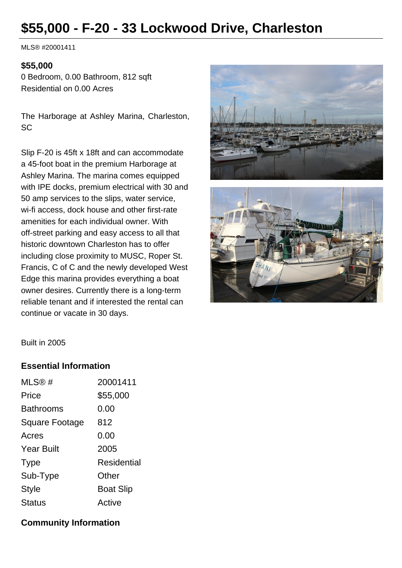# **\$55,000 - F-20 - 33 Lockwood Drive, Charleston**

MLS® #20001411

#### **\$55,000**

0 Bedroom, 0.00 Bathroom, 812 sqft Residential on 0.00 Acres

The Harborage at Ashley Marina, Charleston, **SC** 

Slip F-20 is 45ft x 18ft and can accommodate a 45-foot boat in the premium Harborage at Ashley Marina. The marina comes equipped with IPE docks, premium electrical with 30 and 50 amp services to the slips, water service, wi-fi access, dock house and other first-rate amenities for each individual owner. With off-street parking and easy access to all that historic downtown Charleston has to offer including close proximity to MUSC, Roper St. Francis, C of C and the newly developed West Edge this marina provides everything a boat owner desires. Currently there is a long-term reliable tenant and if interested the rental can continue or vacate in 30 days.





Built in 2005

## **Essential Information**

| MLS@#                 | 20001411           |
|-----------------------|--------------------|
| Price                 | \$55,000           |
| <b>Bathrooms</b>      | 0.00               |
| <b>Square Footage</b> | 812                |
| Acres                 | 0.00               |
| <b>Year Built</b>     | 2005               |
| <b>Type</b>           | <b>Residential</b> |
| Sub-Type              | Other              |
| <b>Style</b>          | <b>Boat Slip</b>   |
| <b>Status</b>         | Active             |

### **Community Information**